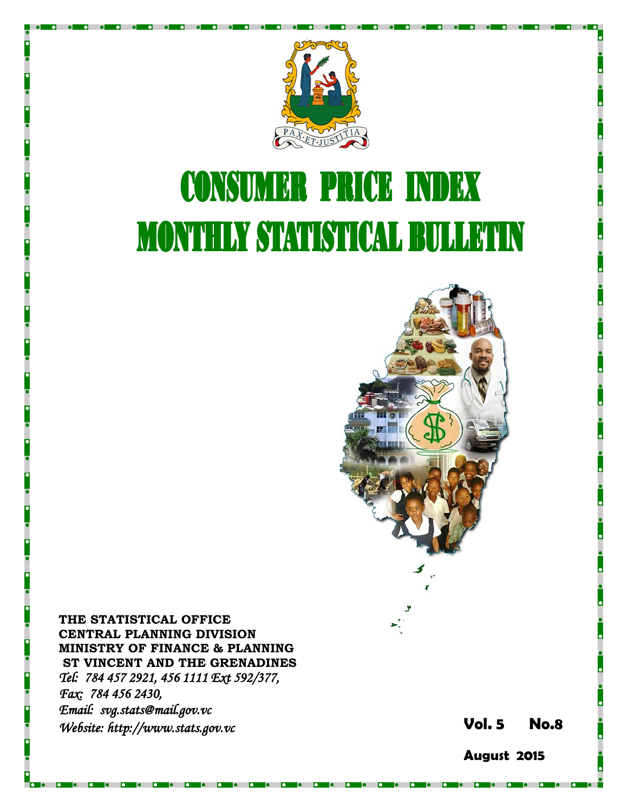

# **CONSUMER PRICE INDEX MONTHLY STATISTICAL BULLETIN**



**THE STATISTICAL OFFICE CENTRAL PLANNING DIVISION MINISTRY OF FINANCE & PLANNING ST VINCENT AND THE GRENADINES** *Tel: 784 457 2921, 456 1111 Ext 592/377, Fax: 784 456 2430, Email: svg.stats@mail.gov.vc Website: http://www.stats.gov.vc* **Vol.** 

**5 No. 8**

**August 2015**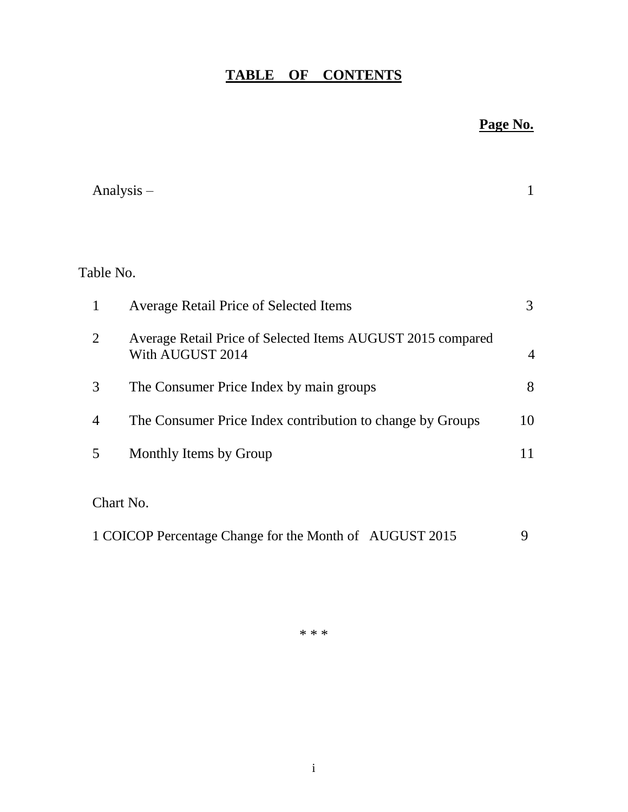# **TABLE OF CONTENTS**

# **Page No.**

|                | Analysis $-$                                                                    | 1              |
|----------------|---------------------------------------------------------------------------------|----------------|
|                |                                                                                 |                |
| Table No.      |                                                                                 |                |
| $\mathbf{1}$   | <b>Average Retail Price of Selected Items</b>                                   | 3              |
| $\overline{2}$ | Average Retail Price of Selected Items AUGUST 2015 compared<br>With AUGUST 2014 | $\overline{4}$ |
| 3              | The Consumer Price Index by main groups                                         | 8              |
| $\overline{4}$ | The Consumer Price Index contribution to change by Groups                       | 10             |
| 5              | Monthly Items by Group                                                          | 11             |
|                | Chart No.                                                                       |                |
|                | 1 COICOP Percentage Change for the Month of AUGUST 2015                         | 9              |

\* \* \*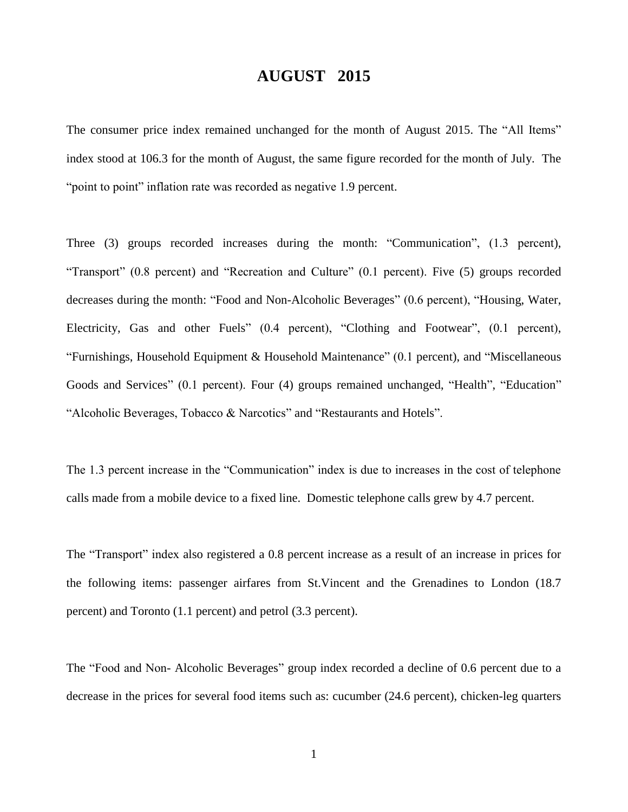# **AUGUST 2015**

The consumer price index remained unchanged for the month of August 2015. The "All Items" index stood at 106.3 for the month of August, the same figure recorded for the month of July. The "point to point" inflation rate was recorded as negative 1.9 percent.

Three (3) groups recorded increases during the month: "Communication", (1.3 percent), "Transport" (0.8 percent) and "Recreation and Culture" (0.1 percent). Five (5) groups recorded decreases during the month: "Food and Non-Alcoholic Beverages" (0.6 percent), "Housing, Water, Electricity, Gas and other Fuels" (0.4 percent), "Clothing and Footwear", (0.1 percent), "Furnishings, Household Equipment & Household Maintenance" (0.1 percent), and "Miscellaneous Goods and Services" (0.1 percent). Four (4) groups remained unchanged, "Health", "Education" "Alcoholic Beverages, Tobacco & Narcotics" and "Restaurants and Hotels".

The 1.3 percent increase in the "Communication" index is due to increases in the cost of telephone calls made from a mobile device to a fixed line. Domestic telephone calls grew by 4.7 percent.

The "Transport" index also registered a 0.8 percent increase as a result of an increase in prices for the following items: passenger airfares from St.Vincent and the Grenadines to London (18.7 percent) and Toronto (1.1 percent) and petrol (3.3 percent).

The "Food and Non- Alcoholic Beverages" group index recorded a decline of 0.6 percent due to a decrease in the prices for several food items such as: cucumber (24.6 percent), chicken-leg quarters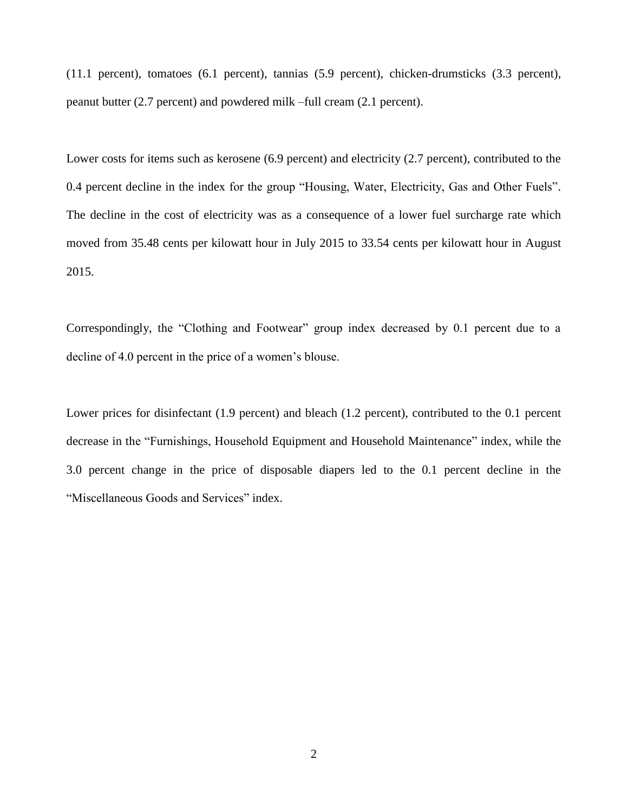(11.1 percent), tomatoes (6.1 percent), tannias (5.9 percent), chicken-drumsticks (3.3 percent), peanut butter (2.7 percent) and powdered milk –full cream (2.1 percent).

Lower costs for items such as kerosene (6.9 percent) and electricity (2.7 percent), contributed to the 0.4 percent decline in the index for the group "Housing, Water, Electricity, Gas and Other Fuels". The decline in the cost of electricity was as a consequence of a lower fuel surcharge rate which moved from 35.48 cents per kilowatt hour in July 2015 to 33.54 cents per kilowatt hour in August 2015.

Correspondingly, the "Clothing and Footwear" group index decreased by 0.1 percent due to a decline of 4.0 percent in the price of a women's blouse.

Lower prices for disinfectant (1.9 percent) and bleach (1.2 percent), contributed to the 0.1 percent decrease in the "Furnishings, Household Equipment and Household Maintenance" index, while the 3.0 percent change in the price of disposable diapers led to the 0.1 percent decline in the "Miscellaneous Goods and Services" index.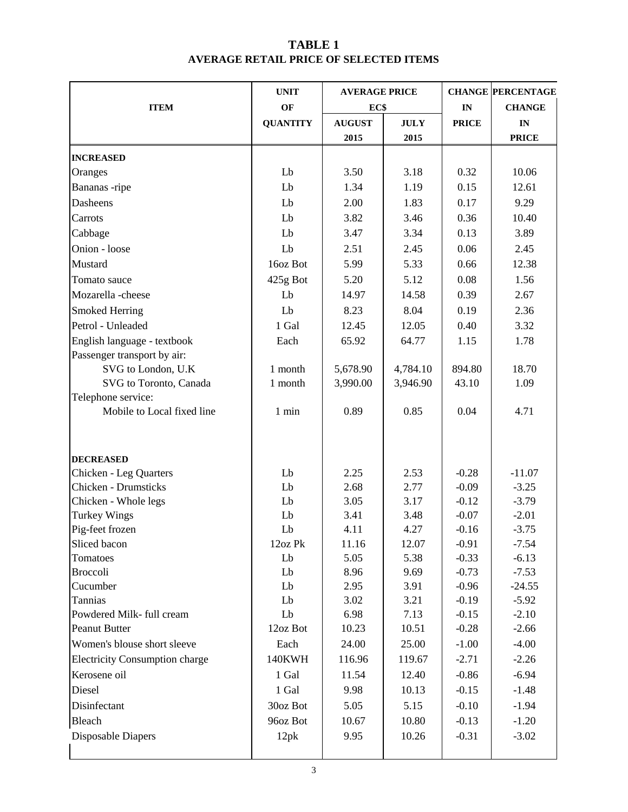# **TABLE 1 AVERAGE RETAIL PRICE OF SELECTED ITEMS**

|                                       | <b>UNIT</b>     | <b>AVERAGE PRICE</b> |             |               | <b>CHANGE PERCENTAGE</b> |  |
|---------------------------------------|-----------------|----------------------|-------------|---------------|--------------------------|--|
| <b>ITEM</b>                           | OF              | EC\$                 |             | $\mathbf{IN}$ | <b>CHANGE</b>            |  |
|                                       | <b>QUANTITY</b> | <b>AUGUST</b>        | <b>JULY</b> | <b>PRICE</b>  | $\mathbf{IN}$            |  |
|                                       |                 | 2015                 | 2015        |               | <b>PRICE</b>             |  |
| <b>INCREASED</b>                      |                 |                      |             |               |                          |  |
| Oranges                               | Lb              | 3.50                 | 3.18        | 0.32          | 10.06                    |  |
| Bananas -ripe                         | Lb              | 1.34                 | 1.19        | 0.15          | 12.61                    |  |
| Dasheens                              | Lb              | 2.00                 | 1.83        | 0.17          | 9.29                     |  |
| Carrots                               | Lb              | 3.82                 | 3.46        | 0.36          | 10.40                    |  |
| Cabbage                               | Lb              | 3.47                 | 3.34        | 0.13          | 3.89                     |  |
| Onion - loose                         | Lb              | 2.51                 | 2.45        | 0.06          | 2.45                     |  |
| Mustard                               | 16oz Bot        | 5.99                 | 5.33        | 0.66          | 12.38                    |  |
| Tomato sauce                          | 425g Bot        | 5.20                 | 5.12        | 0.08          | 1.56                     |  |
| Mozarella-cheese                      | Lb              | 14.97                | 14.58       | 0.39          | 2.67                     |  |
| Smoked Herring                        | Lb              | 8.23                 | 8.04        | 0.19          | 2.36                     |  |
| Petrol - Unleaded                     | 1 Gal           | 12.45                | 12.05       | 0.40          | 3.32                     |  |
| English language - textbook           | Each            | 65.92                | 64.77       | 1.15          | 1.78                     |  |
| Passenger transport by air:           |                 |                      |             |               |                          |  |
| SVG to London, U.K                    | 1 month         | 5,678.90             | 4,784.10    | 894.80        | 18.70                    |  |
| SVG to Toronto, Canada                | 1 month         | 3,990.00             | 3,946.90    | 43.10         | 1.09                     |  |
| Telephone service:                    |                 |                      |             |               |                          |  |
| Mobile to Local fixed line            | 1 min           | 0.89                 | 0.85        | 0.04          | 4.71                     |  |
|                                       |                 |                      |             |               |                          |  |
|                                       |                 |                      |             |               |                          |  |
| <b>DECREASED</b>                      |                 |                      |             |               |                          |  |
| <b>Chicken - Leg Quarters</b>         | Lb              | 2.25                 | 2.53        | $-0.28$       | $-11.07$                 |  |
| Chicken - Drumsticks                  | Lb              | 2.68                 | 2.77        | $-0.09$       | $-3.25$                  |  |
| Chicken - Whole legs                  | Lb              | 3.05                 | 3.17        | $-0.12$       | $-3.79$                  |  |
| <b>Turkey Wings</b>                   | Lb              | 3.41                 | 3.48        | $-0.07$       | $-2.01$                  |  |
| Pig-feet frozen                       | Lb              | 4.11                 | 4.27        | $-0.16$       | $-3.75$                  |  |
| Sliced bacon                          | 12oz Pk         | 11.16                | 12.07       | $-0.91$       | $-7.54$                  |  |
| Tomatoes                              | Lb              | 5.05                 | 5.38        | $-0.33$       | $-6.13$                  |  |
| <b>Broccoli</b>                       | Lb              | 8.96                 | 9.69        | $-0.73$       | $-7.53$                  |  |
| Cucumber                              | Lb              | 2.95                 | 3.91        | $-0.96$       | $-24.55$                 |  |
| Tannias                               | Lb              | 3.02                 | 3.21        | $-0.19$       | $-5.92$                  |  |
| Powdered Milk- full cream             | Lb              | 6.98                 | 7.13        | $-0.15$       | $-2.10$                  |  |
| Peanut Butter                         | 12oz Bot        | 10.23                | 10.51       | $-0.28$       | $-2.66$                  |  |
| Women's blouse short sleeve           | Each            | 24.00                | 25.00       | $-1.00$       | $-4.00$                  |  |
| <b>Electricity Consumption charge</b> | 140KWH          | 116.96               | 119.67      | $-2.71$       | $-2.26$                  |  |
| Kerosene oil                          | 1 Gal           | 11.54                | 12.40       | $-0.86$       | $-6.94$                  |  |
| Diesel                                | 1 Gal           | 9.98                 | 10.13       | $-0.15$       | $-1.48$                  |  |
| Disinfectant                          | 30oz Bot        | 5.05                 | 5.15        | $-0.10$       | $-1.94$                  |  |
| Bleach                                | 96oz Bot        | 10.67                | 10.80       | $-0.13$       | $-1.20$                  |  |
| Disposable Diapers                    | 12pk            | 9.95                 | 10.26       | $-0.31$       | $-3.02$                  |  |
|                                       |                 |                      |             |               |                          |  |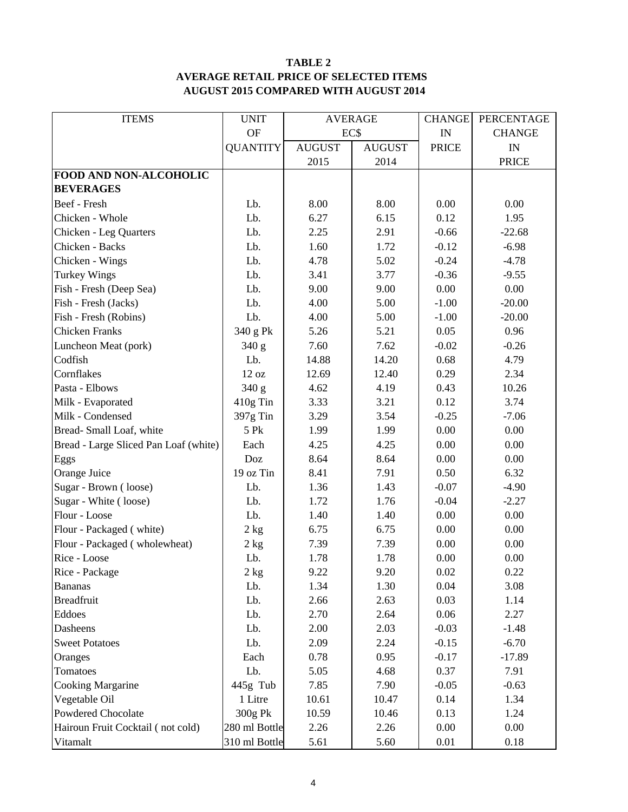### **TABLE 2 AVERAGE RETAIL PRICE OF SELECTED ITEMS AUGUST 2015 COMPARED WITH AUGUST 2014**

| <b>ITEMS</b>                          | <b>UNIT</b>     | <b>AVERAGE</b> |               | <b>CHANGE</b> | PERCENTAGE    |
|---------------------------------------|-----------------|----------------|---------------|---------------|---------------|
|                                       | <b>OF</b>       | EC\$           |               | IN            | <b>CHANGE</b> |
|                                       | <b>QUANTITY</b> | <b>AUGUST</b>  | <b>AUGUST</b> | <b>PRICE</b>  | IN            |
|                                       |                 | 2015           | 2014          |               | <b>PRICE</b>  |
| FOOD AND NON-ALCOHOLIC                |                 |                |               |               |               |
| <b>BEVERAGES</b>                      |                 |                |               |               |               |
| Beef - Fresh                          | Lb.             | 8.00           | 8.00          | 0.00          | 0.00          |
| Chicken - Whole                       | Lb.             | 6.27           | 6.15          | 0.12          | 1.95          |
| Chicken - Leg Quarters                | Lb.             | 2.25           | 2.91          | $-0.66$       | $-22.68$      |
| Chicken - Backs                       | Lb.             | 1.60           | 1.72          | $-0.12$       | $-6.98$       |
| Chicken - Wings                       | Lb.             | 4.78           | 5.02          | $-0.24$       | $-4.78$       |
| <b>Turkey Wings</b>                   | Lb.             | 3.41           | 3.77          | $-0.36$       | $-9.55$       |
| Fish - Fresh (Deep Sea)               | Lb.             | 9.00           | 9.00          | 0.00          | 0.00          |
| Fish - Fresh (Jacks)                  | Lb.             | 4.00           | 5.00          | $-1.00$       | $-20.00$      |
| Fish - Fresh (Robins)                 | Lb.             | 4.00           | 5.00          | $-1.00$       | $-20.00$      |
| <b>Chicken Franks</b>                 | 340 g Pk        | 5.26           | 5.21          | 0.05          | 0.96          |
| Luncheon Meat (pork)                  | 340 g           | 7.60           | 7.62          | $-0.02$       | $-0.26$       |
| Codfish                               | Lb.             | 14.88          | 14.20         | 0.68          | 4.79          |
| Cornflakes                            | 12 oz           | 12.69          | 12.40         | 0.29          | 2.34          |
| Pasta - Elbows                        | 340 g           | 4.62           | 4.19          | 0.43          | 10.26         |
| Milk - Evaporated                     | 410g Tin        | 3.33           | 3.21          |               | 3.74          |
| Milk - Condensed                      | 397g Tin        | 3.29           | 3.54          | $-0.25$       | $-7.06$       |
| Bread-Small Loaf, white               | 5 Pk            | 1.99           | 1.99          | 0.00          | 0.00          |
| Bread - Large Sliced Pan Loaf (white) | Each            | 4.25           | 4.25          | 0.00          | 0.00          |
| Eggs                                  | Doz             | 8.64           | 8.64          | 0.00          | 0.00          |
| Orange Juice                          | 19 oz Tin       | 8.41           | 7.91          | 0.50          | 6.32          |
| Sugar - Brown (loose)                 | Lb.             | 1.36           | 1.43          | $-0.07$       | $-4.90$       |
| Sugar - White (loose)                 | Lb.             | 1.72           | 1.76          | $-0.04$       | $-2.27$       |
| Flour - Loose                         | Lb.             | 1.40           | 1.40          | 0.00          | 0.00          |
| Flour - Packaged (white)              | 2 kg            | 6.75           | 6.75          | 0.00          | 0.00          |
| Flour - Packaged (wholewheat)         | 2 kg            | 7.39           | 7.39          | 0.00          | 0.00          |
| Rice - Loose                          | Lb.             | 1.78           | 1.78          | 0.00          | 0.00          |
| Rice - Package                        | 2 kg            | 9.22           | 9.20          | 0.02          | 0.22          |
| <b>Bananas</b>                        | Lb.             | 1.34           | 1.30          | 0.04          | 3.08          |
| <b>Breadfruit</b>                     | Lb.             | 2.66           | 2.63          | 0.03          | 1.14          |
| Eddoes                                | Lb.             | 2.70           | 2.64          | 0.06          | 2.27          |
| Dasheens                              | Lb.             | 2.00           | 2.03          | $-0.03$       | $-1.48$       |
| <b>Sweet Potatoes</b>                 | Lb.             | 2.09           | 2.24          | $-0.15$       | $-6.70$       |
| Oranges                               | Each            | 0.78           | 0.95          | $-0.17$       | $-17.89$      |
| Tomatoes                              | Lb.             | 5.05           | 4.68          | 0.37          | 7.91          |
| <b>Cooking Margarine</b>              | 445g Tub        | 7.85           | 7.90          | $-0.05$       | $-0.63$       |
| Vegetable Oil                         | 1 Litre         | 10.61          | 10.47         | 0.14          | 1.34          |
| Powdered Chocolate                    | 300g Pk         | 10.59          | 10.46         | 0.13          | 1.24          |
| Hairoun Fruit Cocktail (not cold)     | 280 ml Bottle   | 2.26           | 2.26          | 0.00          | 0.00          |
| Vitamalt                              | 310 ml Bottle   | 5.61           | 5.60          | 0.01          | 0.18          |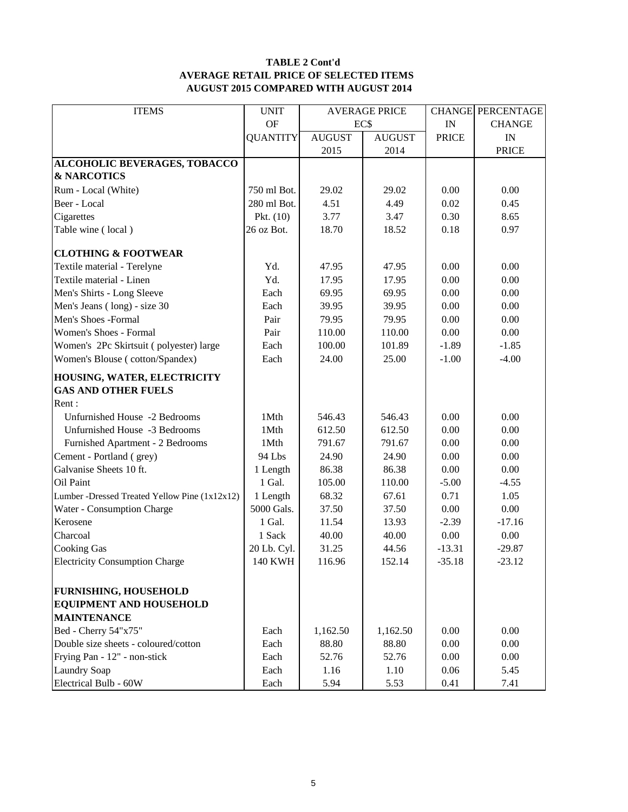#### **TABLE 2 Cont'd AVERAGE RETAIL PRICE OF SELECTED ITEMS AUGUST 2015 COMPARED WITH AUGUST 2014**

| <b>ITEMS</b>                                  | <b>UNIT</b>     | <b>AVERAGE PRICE</b> |               |              | <b>CHANGE PERCENTAGE</b> |
|-----------------------------------------------|-----------------|----------------------|---------------|--------------|--------------------------|
|                                               | <b>OF</b>       |                      | EC\$          |              | <b>CHANGE</b>            |
|                                               | <b>QUANTITY</b> | <b>AUGUST</b>        | <b>AUGUST</b> | <b>PRICE</b> | $\mathbf{IN}$            |
|                                               |                 | 2015                 | 2014          |              | <b>PRICE</b>             |
| ALCOHOLIC BEVERAGES, TOBACCO                  |                 |                      |               |              |                          |
| <b>&amp; NARCOTICS</b>                        |                 |                      |               |              |                          |
| Rum - Local (White)                           | 750 ml Bot.     | 29.02                | 29.02         | 0.00         | 0.00                     |
| Beer - Local                                  | 280 ml Bot.     | 4.51                 | 4.49          | 0.02         | 0.45                     |
| Cigarettes                                    | Pkt. $(10)$     | 3.77                 | 3.47          | 0.30         | 8.65                     |
| Table wine (local)                            | 26 oz Bot.      | 18.70                | 18.52         | 0.18         | 0.97                     |
| <b>CLOTHING &amp; FOOTWEAR</b>                |                 |                      |               |              |                          |
| Textile material - Terelyne                   | Yd.             | 47.95                | 47.95         | 0.00         | 0.00                     |
| Textile material - Linen                      | Yd.             | 17.95                | 17.95         | 0.00         | 0.00                     |
| Men's Shirts - Long Sleeve                    | Each            | 69.95                | 69.95         | 0.00         | 0.00                     |
| Men's Jeans (long) - size 30                  | Each            | 39.95                | 39.95         | 0.00         | $0.00\,$                 |
| Men's Shoes -Formal                           | Pair            | 79.95                | 79.95         | 0.00         | 0.00                     |
| Women's Shoes - Formal                        | Pair            | 110.00               | 110.00        | 0.00         | 0.00                     |
| Women's 2Pc Skirtsuit (polyester) large       | Each            | 100.00               | 101.89        | $-1.89$      | $-1.85$                  |
| Women's Blouse (cotton/Spandex)               | Each            | 24.00                | 25.00         | $-1.00$      | $-4.00$                  |
| HOUSING, WATER, ELECTRICITY                   |                 |                      |               |              |                          |
| <b>GAS AND OTHER FUELS</b>                    |                 |                      |               |              |                          |
| Rent:                                         |                 |                      |               |              |                          |
| Unfurnished House -2 Bedrooms                 | 1Mth            | 546.43               | 546.43        | 0.00         | 0.00                     |
| Unfurnished House -3 Bedrooms                 | 1Mth            | 612.50               | 612.50        | 0.00         | 0.00                     |
| Furnished Apartment - 2 Bedrooms              | 1Mth            | 791.67               | 791.67        | 0.00         | 0.00                     |
| Cement - Portland (grey)                      | 94 Lbs          | 24.90                | 24.90         | 0.00         | 0.00                     |
| Galvanise Sheets 10 ft.                       | 1 Length        | 86.38                | 86.38         | 0.00         | 0.00                     |
| Oil Paint                                     | 1 Gal.          | 105.00               | 110.00        | $-5.00$      | $-4.55$                  |
| Lumber -Dressed Treated Yellow Pine (1x12x12) | 1 Length        | 68.32                | 67.61         | 0.71         | 1.05                     |
| Water - Consumption Charge                    | 5000 Gals.      | 37.50                | 37.50         | 0.00         | 0.00                     |
| Kerosene                                      | 1 Gal.          | 11.54                | 13.93         | $-2.39$      | $-17.16$                 |
| Charcoal                                      | 1 Sack          | 40.00                | 40.00         | 0.00         | 0.00                     |
| <b>Cooking Gas</b>                            | 20 Lb. Cyl.     | 31.25                | 44.56         | $-13.31$     | $-29.87$                 |
| <b>Electricity Consumption Charge</b>         | <b>140 KWH</b>  | 116.96               | 152.14        | 35.18        | $-23.12$                 |
| <b>FURNISHING, HOUSEHOLD</b>                  |                 |                      |               |              |                          |
| <b>EQUIPMENT AND HOUSEHOLD</b>                |                 |                      |               |              |                          |
| <b>MAINTENANCE</b>                            |                 |                      |               |              |                          |
| Bed - Cherry 54"x75"                          | Each            | 1,162.50             | 1,162.50      | 0.00         | 0.00                     |
| Double size sheets - coloured/cotton          | Each            | 88.80                | 88.80         | 0.00         | 0.00                     |
| Frying Pan - 12" - non-stick                  | Each            | 52.76                | 52.76         | 0.00         | 0.00                     |
| <b>Laundry Soap</b>                           | Each            | 1.16                 | 1.10          | 0.06         | 5.45                     |
| Electrical Bulb - 60W                         | Each            | 5.94                 | 5.53          | 0.41         | 7.41                     |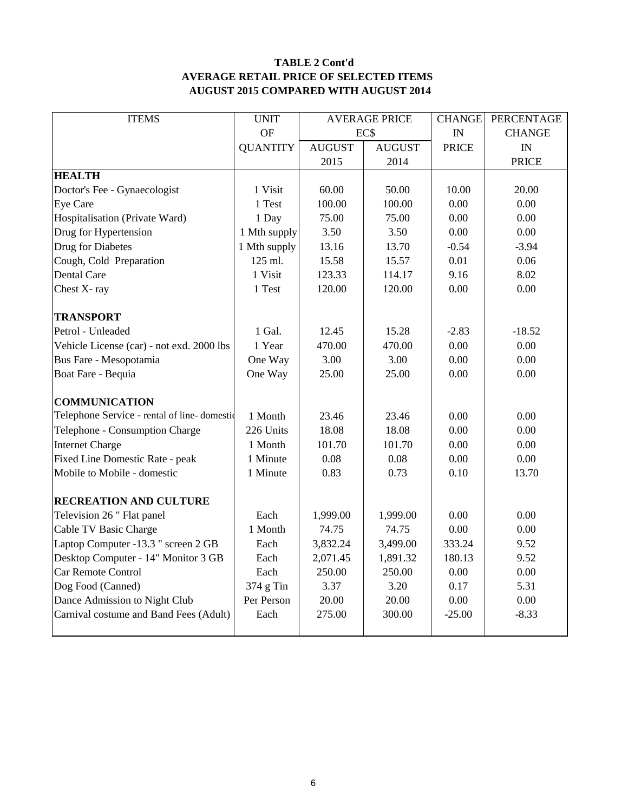## **TABLE 2 Cont'd AVERAGE RETAIL PRICE OF SELECTED ITEMS AUGUST 2015 COMPARED WITH AUGUST 2014**

| <b>ITEMS</b>                                | <b>UNIT</b>     | <b>AVERAGE PRICE</b> |                  | <b>CHANGE</b> | PERCENTAGE    |
|---------------------------------------------|-----------------|----------------------|------------------|---------------|---------------|
|                                             | OF              |                      | EC\$             |               | <b>CHANGE</b> |
|                                             | <b>QUANTITY</b> | <b>AUGUST</b>        | <b>AUGUST</b>    | <b>PRICE</b>  | IN            |
|                                             |                 | 2015                 | 2014             |               | <b>PRICE</b>  |
| <b>HEALTH</b>                               |                 |                      |                  |               |               |
| Doctor's Fee - Gynaecologist                | 1 Visit         | 60.00                | 50.00            | 10.00         | 20.00         |
| Eye Care                                    | 1 Test          | 100.00               | 100.00           | 0.00          | 0.00          |
| Hospitalisation (Private Ward)              | 1 Day           | 75.00                | 75.00            | 0.00          | 0.00          |
| Drug for Hypertension                       | 1 Mth supply    | 3.50                 | 3.50             | 0.00          | 0.00          |
| Drug for Diabetes                           | 1 Mth supply    | 13.16                | 13.70            | $-0.54$       | $-3.94$       |
| Cough, Cold Preparation                     | 125 ml.         | 15.58                | 15.57            | 0.01          | 0.06          |
| Dental Care                                 | 1 Visit         | 123.33               | 114.17           | 9.16          | 8.02          |
| Chest X-ray                                 | 1 Test          | 120.00               | 120.00           | 0.00          | 0.00          |
|                                             |                 |                      |                  |               |               |
| <b>TRANSPORT</b>                            |                 |                      |                  |               |               |
| Petrol - Unleaded                           | 1 Gal.          | 12.45                | 15.28            | $-2.83$       | $-18.52$      |
| Vehicle License (car) - not exd. 2000 lbs   | 1 Year          | 470.00               | 470.00           | 0.00          | 0.00          |
| Bus Fare - Mesopotamia                      | One Way         | 3.00                 | 3.00             |               | 0.00          |
| Boat Fare - Bequia                          | One Way         | 25.00                | 25.00            | 0.00          | 0.00          |
|                                             |                 |                      |                  |               |               |
| <b>COMMUNICATION</b>                        |                 |                      |                  |               |               |
| Telephone Service - rental of line-domestic | 1 Month         | 23.46                | 23.46            | 0.00          | 0.00          |
| Telephone - Consumption Charge              | 226 Units       | 18.08                | 18.08            | 0.00<br>0.00  | 0.00          |
| <b>Internet Charge</b>                      | 1 Month         |                      | 101.70<br>101.70 |               | 0.00          |
| Fixed Line Domestic Rate - peak             | 1 Minute        | 0.08                 | 0.08             | 0.00          | 0.00          |
| Mobile to Mobile - domestic                 | 1 Minute        | 0.83                 | 0.73             | 0.10          | 13.70         |
|                                             |                 |                      |                  |               |               |
| <b>RECREATION AND CULTURE</b>               |                 |                      |                  |               |               |
| Television 26 " Flat panel                  | Each            | 1,999.00             | 1,999.00         | 0.00          | 0.00          |
| Cable TV Basic Charge                       | 1 Month         | 74.75                | 74.75            | 0.00          | 0.00          |
| Laptop Computer -13.3 " screen 2 GB         | Each            | 3,832.24             | 3,499.00         | 333.24        | 9.52          |
| Desktop Computer - 14" Monitor 3 GB         | Each            | 2,071.45             | 1,891.32         | 180.13        | 9.52          |
| Car Remote Control                          | Each            | 250.00               | 250.00           | 0.00          | 0.00          |
| Dog Food (Canned)                           | 374 g Tin       | 3.37                 | 3.20             | 0.17          | 5.31          |
| Dance Admission to Night Club               | Per Person      | 20.00                | 20.00            | 0.00          | 0.00          |
| Carnival costume and Band Fees (Adult)      | Each            | 275.00               | 300.00           | $-25.00$      | $-8.33$       |
|                                             |                 |                      |                  |               |               |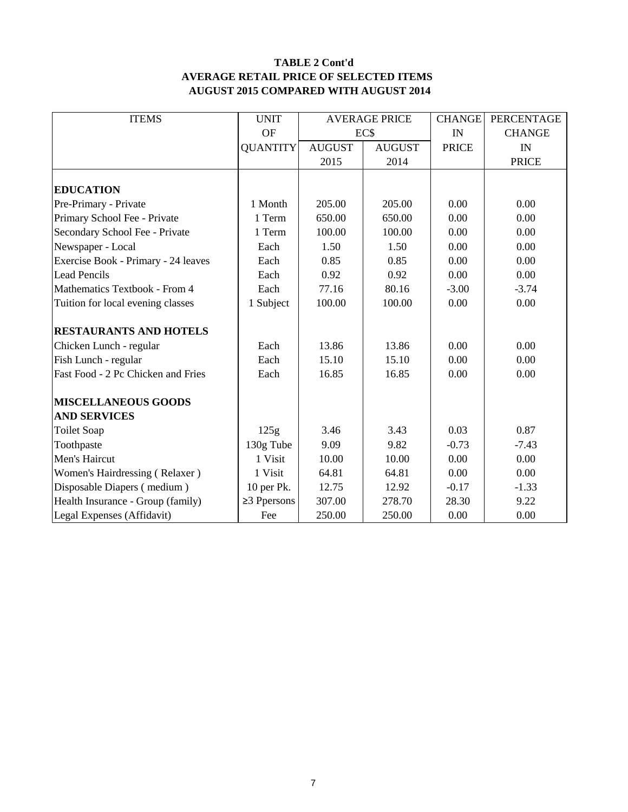## **TABLE 2 Cont'd AVERAGE RETAIL PRICE OF SELECTED ITEMS AUGUST 2015 COMPARED WITH AUGUST 2014**

| <b>ITEMS</b>                        | <b>UNIT</b>       |                | <b>AVERAGE PRICE</b> | <b>CHANGE</b> | PERCENTAGE    |
|-------------------------------------|-------------------|----------------|----------------------|---------------|---------------|
|                                     | <b>OF</b>         | EC\$           |                      | IN            | <b>CHANGE</b> |
|                                     | <b>QUANTITY</b>   | <b>AUGUST</b>  | <b>AUGUST</b>        | <b>PRICE</b>  | IN            |
|                                     |                   | 2015           | 2014                 |               | <b>PRICE</b>  |
|                                     |                   |                |                      |               |               |
| <b>EDUCATION</b>                    |                   |                |                      |               |               |
| Pre-Primary - Private               | 1 Month           | 205.00         | 205.00               | 0.00          | 0.00          |
| Primary School Fee - Private        | 1 Term            | 650.00         | 650.00               | 0.00          | 0.00          |
| Secondary School Fee - Private      | 1 Term            | 100.00         | 100.00               | 0.00          | 0.00          |
| Newspaper - Local                   | Each              | 1.50           | 1.50                 | 0.00          | 0.00          |
| Exercise Book - Primary - 24 leaves | Each              | 0.85           | 0.85                 | 0.00          | 0.00          |
| <b>Lead Pencils</b>                 | Each              | 0.92           | 0.92                 | 0.00          | 0.00          |
| Mathematics Textbook - From 4       | Each              | 77.16          | 80.16<br>$-3.00$     |               | $-3.74$       |
| Tuition for local evening classes   | 1 Subject         | 100.00         | 100.00               | 0.00          | 0.00          |
| <b>RESTAURANTS AND HOTELS</b>       |                   |                |                      |               |               |
| Chicken Lunch - regular             | Each              | 13.86          | 13.86                | 0.00          | 0.00          |
| Fish Lunch - regular                | Each              | 15.10          | 15.10                | 0.00          | 0.00          |
| Fast Food - 2 Pc Chicken and Fries  | Each              | 16.85<br>16.85 |                      | 0.00          | 0.00          |
| <b>MISCELLANEOUS GOODS</b>          |                   |                |                      |               |               |
| <b>AND SERVICES</b>                 |                   |                |                      |               |               |
| <b>Toilet Soap</b>                  | 125g              | 3.46           | 3.43                 | 0.03          | 0.87          |
| Toothpaste                          | 130g Tube         | 9.09           | 9.82                 | $-0.73$       | $-7.43$       |
| Men's Haircut                       | 1 Visit           | 10.00          | 10.00                | 0.00          | 0.00          |
| Women's Hairdressing (Relaxer)      | 1 Visit           | 64.81          | 64.81                | 0.00          | 0.00          |
| Disposable Diapers (medium)         | 10 per Pk.        | 12.75          | 12.92                | $-0.17$       | $-1.33$       |
| Health Insurance - Group (family)   | $\geq$ 3 Ppersons | 307.00         | 278.70               | 28.30         | 9.22          |
| Legal Expenses (Affidavit)          | Fee               | 250.00         | 250.00               | 0.00          | 0.00          |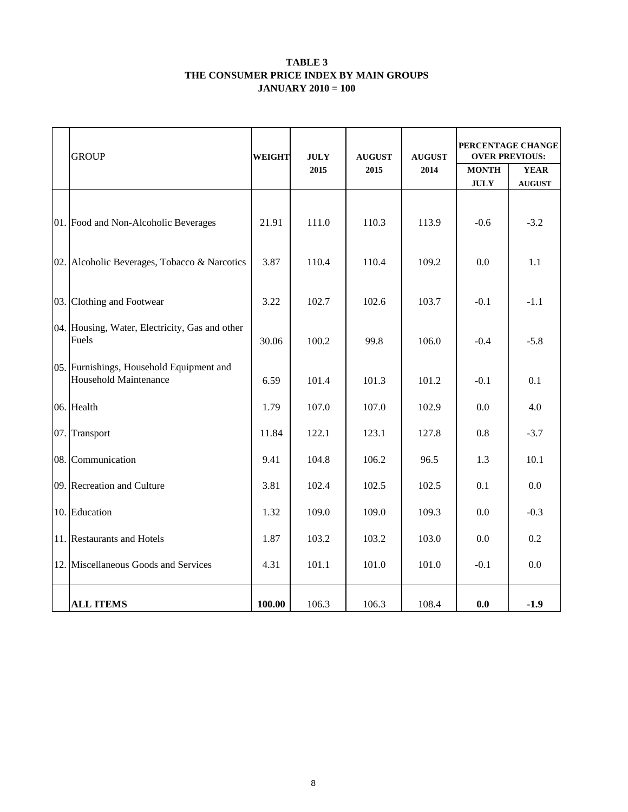#### **TABLE 3 THE CONSUMER PRICE INDEX BY MAIN GROUPS JANUARY 2010 = 100**

| <b>GROUP</b>                                                             | WEIGHT | <b>JULY</b> | <b>AUGUST</b> | <b>AUGUST</b> | PERCENTAGE CHANGE<br><b>OVER PREVIOUS:</b> |                              |  |
|--------------------------------------------------------------------------|--------|-------------|---------------|---------------|--------------------------------------------|------------------------------|--|
|                                                                          |        | 2015        | 2015          | 2014          | <b>MONTH</b><br><b>JULY</b>                | <b>YEAR</b><br><b>AUGUST</b> |  |
| 01. Food and Non-Alcoholic Beverages                                     | 21.91  | 111.0       | 110.3         | 113.9         | $-0.6$                                     | $-3.2$                       |  |
| 02. Alcoholic Beverages, Tobacco & Narcotics                             | 3.87   | 110.4       | 110.4         | 109.2         | 0.0                                        | 1.1                          |  |
| 03. Clothing and Footwear                                                | 3.22   | 102.7       | 102.6         | 103.7         | $-0.1$                                     | $-1.1$                       |  |
| 04. Housing, Water, Electricity, Gas and other<br>Fuels                  |        | 100.2       | 99.8          | 106.0         | $-0.4$                                     | $-5.8$                       |  |
| 05. Furnishings, Household Equipment and<br><b>Household Maintenance</b> | 6.59   | 101.4       | 101.3         | 101.2         | $-0.1$                                     | 0.1                          |  |
| 06. Health                                                               | 1.79   | 107.0       | 107.0         | 102.9         | 0.0                                        | 4.0                          |  |
| 07. Transport                                                            | 11.84  | 122.1       | 123.1         | 127.8         | 0.8                                        | $-3.7$                       |  |
| 08. Communication                                                        | 9.41   | 104.8       | 106.2         | 96.5          | 1.3                                        | 10.1                         |  |
| 09. Recreation and Culture                                               | 3.81   | 102.4       | 102.5         | 102.5         | 0.1                                        | 0.0                          |  |
| 10. Education                                                            | 1.32   | 109.0       | 109.0         | 109.3         | 0.0                                        | $-0.3$                       |  |
| 11. Restaurants and Hotels                                               | 1.87   | 103.2       | 103.2         | 103.0         | 0.0                                        | 0.2                          |  |
| 12. Miscellaneous Goods and Services                                     | 4.31   | 101.1       | 101.0         | 101.0         | $-0.1$                                     | 0.0                          |  |
| <b>ALL ITEMS</b>                                                         | 100.00 | 106.3       | 106.3         | 108.4         | 0.0                                        | $-1.9$                       |  |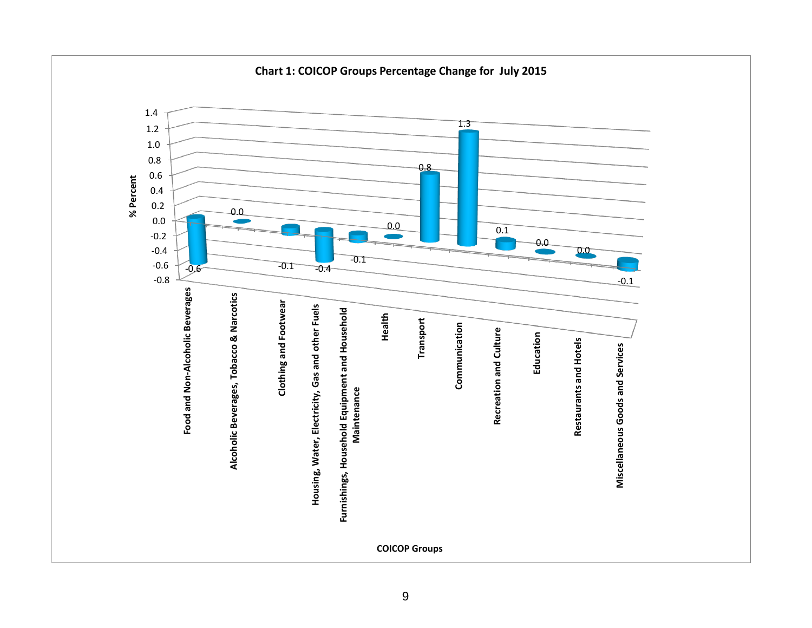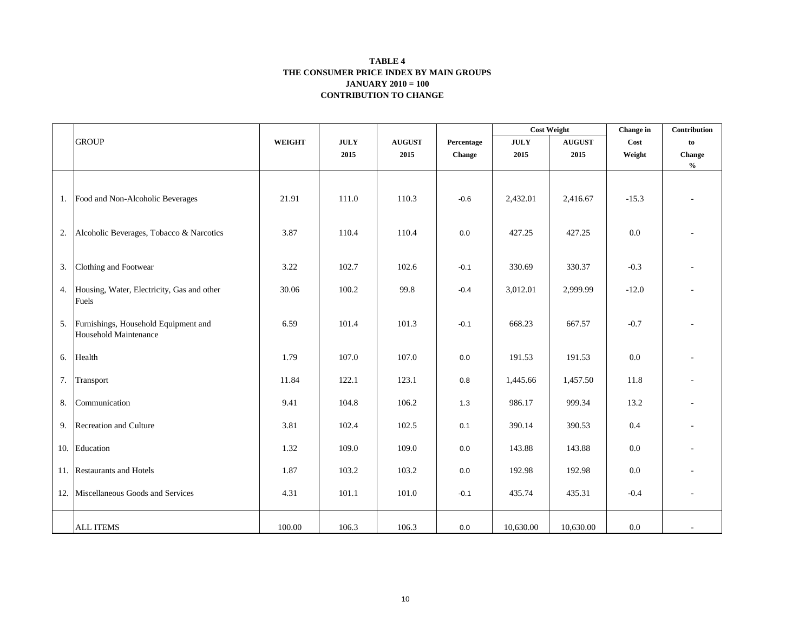#### **CONTRIBUTION TO CHANGE TABLE 4 THE CONSUMER PRICE INDEX BY MAIN GROUPS JANUARY 2010 = 100**

|    |                                                               |               |             |               |            | <b>Cost Weight</b>                         |               | Change in | Contribution                       |
|----|---------------------------------------------------------------|---------------|-------------|---------------|------------|--------------------------------------------|---------------|-----------|------------------------------------|
|    | <b>GROUP</b>                                                  | <b>WEIGHT</b> | <b>JULY</b> | <b>AUGUST</b> | Percentage | $\mathbf{J}\mathbf{U}\mathbf{L}\mathbf{Y}$ | <b>AUGUST</b> | Cost      | to                                 |
|    |                                                               |               | 2015        | 2015          | Change     | 2015                                       | 2015          | Weight    | Change                             |
|    |                                                               |               |             |               |            |                                            |               |           | $\mathbf{0}_{\mathbf{0}}^{\prime}$ |
|    | 1. Food and Non-Alcoholic Beverages                           | 21.91         | 111.0       | 110.3         | $-0.6$     | 2,432.01                                   | 2,416.67      | $-15.3$   |                                    |
| 2. | Alcoholic Beverages, Tobacco & Narcotics                      | 3.87          | 110.4       | 110.4         | 0.0        | 427.25                                     | 427.25        | 0.0       |                                    |
| 3. | Clothing and Footwear                                         | 3.22          | 102.7       | 102.6         | $-0.1$     | 330.69                                     | 330.37        | $-0.3$    |                                    |
|    | 4. Housing, Water, Electricity, Gas and other<br>Fuels        | 30.06         | 100.2       | 99.8          | $-0.4$     | 3,012.01                                   | 2,999.99      | $-12.0$   |                                    |
| 5. | Furnishings, Household Equipment and<br>Household Maintenance | 6.59          | 101.4       | 101.3         | $-0.1$     | 668.23                                     | 667.57        | $-0.7$    |                                    |
| 6. | Health                                                        | 1.79          | 107.0       | 107.0         | $0.0\,$    | 191.53                                     | 191.53        | $0.0\,$   |                                    |
| 7. | Transport                                                     | 11.84         | 122.1       | 123.1         | $0.8\,$    | 1,445.66                                   | 1,457.50      | 11.8      |                                    |
| 8. | Communication                                                 | 9.41          | 104.8       | 106.2         | 1.3        | 986.17                                     | 999.34        | 13.2      |                                    |
|    | 9. Recreation and Culture                                     | 3.81          | 102.4       | 102.5         | 0.1        | 390.14                                     | 390.53        | $0.4\,$   |                                    |
|    | 10. Education                                                 | 1.32          | 109.0       | 109.0         | 0.0        | 143.88                                     | 143.88        | 0.0       |                                    |
|    | 11. Restaurants and Hotels                                    | 1.87          | 103.2       | 103.2         | 0.0        | 192.98                                     | 192.98        | $0.0\,$   |                                    |
|    | 12. Miscellaneous Goods and Services                          | 4.31          | 101.1       | 101.0         | $-0.1$     | 435.74                                     | 435.31        | $-0.4$    | $\overline{\phantom{a}}$           |
|    | <b>ALL ITEMS</b>                                              | 100.00        | 106.3       | 106.3         | 0.0        | 10,630.00                                  | 10,630.00     | $0.0\,$   |                                    |